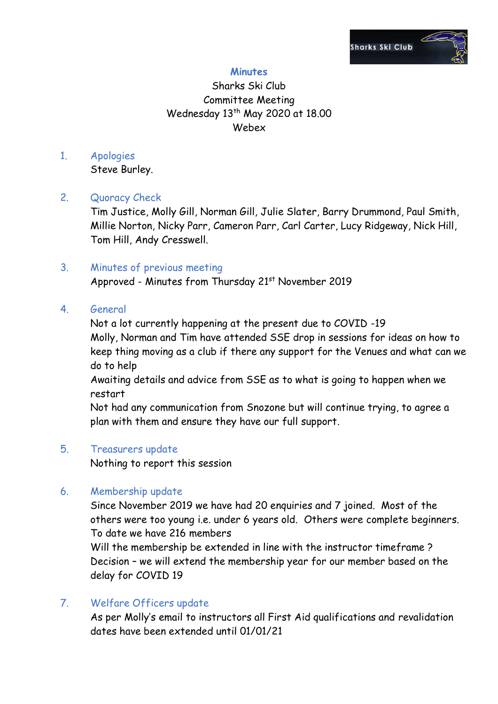

# **Minutes**

# Sharks Ski Club Committee Meeting Wednesday 13<sup>th</sup> May 2020 at 18.00 Webex

# 1. Apologies

Steve Burley.

# 2. Quoracy Check

Tim Justice, Molly Gill, Norman Gill, Julie Slater, Barry Drummond, Paul Smith, Millie Norton, Nicky Parr, Cameron Parr, Carl Carter, Lucy Ridgeway, Nick Hill, Tom Hill, Andy Cresswell.

### 3. Minutes of previous meeting

Approved - Minutes from Thursday 21<sup>st</sup> November 2019

# 4. General

Not a lot currently happening at the present due to COVID -19 Molly, Norman and Tim have attended SSE drop in sessions for ideas on how to keep thing moving as a club if there any support for the Venues and what can we do to help

Awaiting details and advice from SSE as to what is going to happen when we restart

Not had any communication from Snozone but will continue trying, to agree a plan with them and ensure they have our full support.

#### 5. Treasurers update

Nothing to report this session

# 6. Membership update

Since November 2019 we have had 20 enquiries and 7 joined. Most of the others were too young i.e. under 6 years old. Others were complete beginners. To date we have 216 members

Will the membership be extended in line with the instructor timeframe ? Decision – we will extend the membership year for our member based on the delay for COVID 19

# 7. Welfare Officers update

As per Molly's email to instructors all First Aid qualifications and revalidation dates have been extended until 01/01/21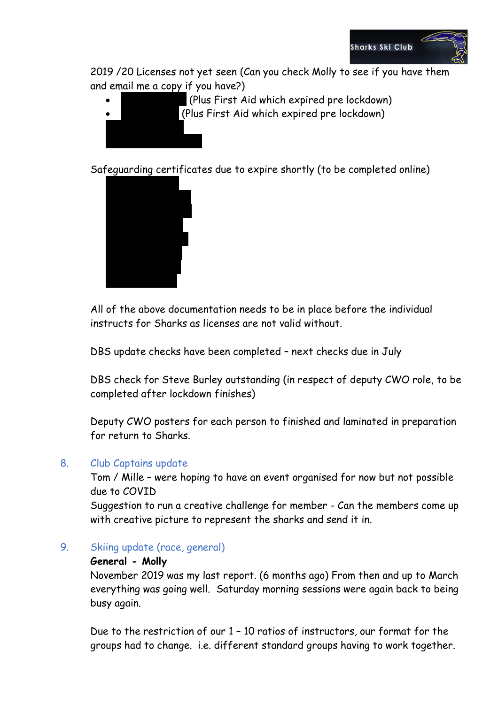

2019 /20 Licenses not yet seen (Can you check Molly to see if you have them and email me a copy if you have?)

- (Plus First Aid which expired pre lockdown)
	- (Plus First Aid which expired pre lockdown)

Safeguarding certificates due to expire shortly (to be completed online)



All of the above documentation needs to be in place before the individual instructs for Sharks as licenses are not valid without.

DBS update checks have been completed – next checks due in July

DBS check for Steve Burley outstanding (in respect of deputy CWO role, to be completed after lockdown finishes)

Deputy CWO posters for each person to finished and laminated in preparation for return to Sharks.

#### 8. Club Captains update

Tom / Mille – were hoping to have an event organised for now but not possible due to COVID

Suggestion to run a creative challenge for member - Can the members come up with creative picture to represent the sharks and send it in.

9. Skiing update (race, general)

#### **General - Molly**

November 2019 was my last report. (6 months ago) From then and up to March everything was going well. Saturday morning sessions were again back to being busy again.

Due to the restriction of our 1 – 10 ratios of instructors, our format for the groups had to change. i.e. different standard groups having to work together.

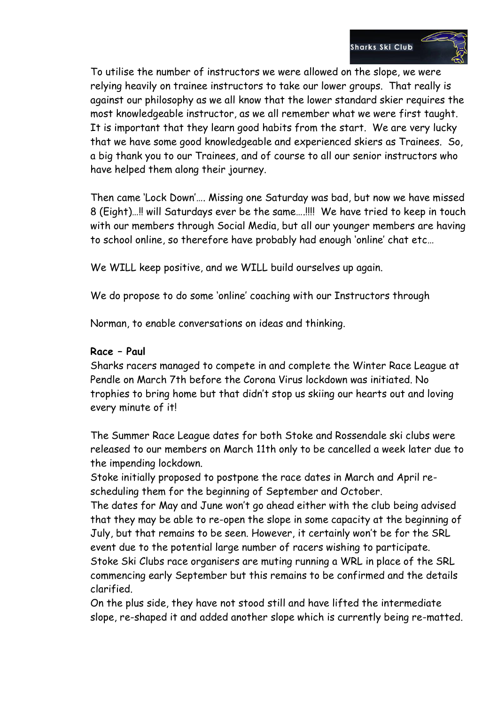

To utilise the number of instructors we were allowed on the slope, we were relying heavily on trainee instructors to take our lower groups. That really is against our philosophy as we all know that the lower standard skier requires the most knowledgeable instructor, as we all remember what we were first taught. It is important that they learn good habits from the start. We are very lucky that we have some good knowledgeable and experienced skiers as Trainees. So, a big thank you to our Trainees, and of course to all our senior instructors who have helped them along their journey.

Then came 'Lock Down'…. Missing one Saturday was bad, but now we have missed 8 (Eight)…!! will Saturdays ever be the same….!!!! We have tried to keep in touch with our members through Social Media, but all our younger members are having to school online, so therefore have probably had enough 'online' chat etc…

We WILL keep positive, and we WILL build ourselves up again.

We do propose to do some 'online' coaching with our Instructors through

Norman, to enable conversations on ideas and thinking.

### **Race – Paul**

Sharks racers managed to compete in and complete the Winter Race League at Pendle on March 7th before the Corona Virus lockdown was initiated. No trophies to bring home but that didn't stop us skiing our hearts out and loving every minute of it!

The Summer Race League dates for both Stoke and Rossendale ski clubs were released to our members on March 11th only to be cancelled a week later due to the impending lockdown.

Stoke initially proposed to postpone the race dates in March and April rescheduling them for the beginning of September and October.

The dates for May and June won't go ahead either with the club being advised that they may be able to re-open the slope in some capacity at the beginning of July, but that remains to be seen. However, it certainly won't be for the SRL event due to the potential large number of racers wishing to participate. Stoke Ski Clubs race organisers are muting running a WRL in place of the SRL commencing early September but this remains to be confirmed and the details clarified.

On the plus side, they have not stood still and have lifted the intermediate slope, re-shaped it and added another slope which is currently being re-matted.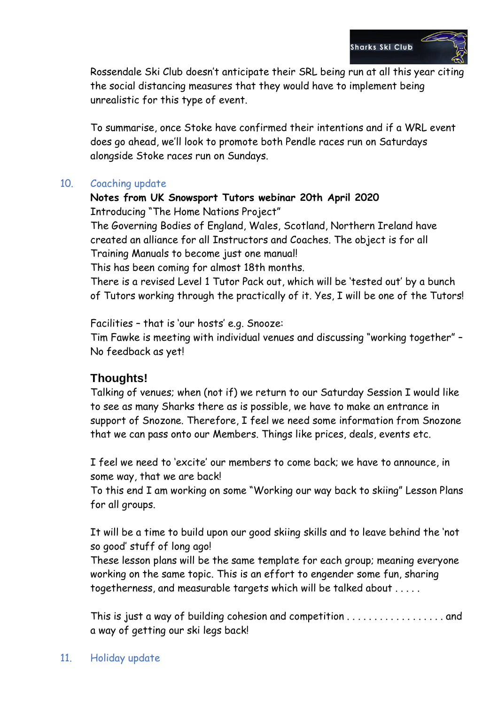

Rossendale Ski Club doesn't anticipate their SRL being run at all this year citing the social distancing measures that they would have to implement being unrealistic for this type of event.

To summarise, once Stoke have confirmed their intentions and if a WRL event does go ahead, we'll look to promote both Pendle races run on Saturdays alongside Stoke races run on Sundays.

### 10. Coaching update

# **Notes from UK Snowsport Tutors webinar 20th April 2020** Introducing "The Home Nations Project"

The Governing Bodies of England, Wales, Scotland, Northern Ireland have created an alliance for all Instructors and Coaches. The object is for all Training Manuals to become just one manual!

This has been coming for almost 18th months.

There is a revised Level 1 Tutor Pack out, which will be 'tested out' by a bunch of Tutors working through the practically of it. Yes, I will be one of the Tutors!

Facilities – that is 'our hosts' e.g. Snooze:

Tim Fawke is meeting with individual venues and discussing "working together" – No feedback as yet!

# **Thoughts!**

Talking of venues; when (not if) we return to our Saturday Session I would like to see as many Sharks there as is possible, we have to make an entrance in support of Snozone. Therefore, I feel we need some information from Snozone that we can pass onto our Members. Things like prices, deals, events etc.

I feel we need to 'excite' our members to come back; we have to announce, in some way, that we are back!

To this end I am working on some "Working our way back to skiing" Lesson Plans for all groups.

It will be a time to build upon our good skiing skills and to leave behind the 'not so good' stuff of long ago!

These lesson plans will be the same template for each group; meaning everyone working on the same topic. This is an effort to engender some fun, sharing togetherness, and measurable targets which will be talked about . . . . .

This is just a way of building cohesion and competition . . . . . . . . . . . . . . . . . . and a way of getting our ski legs back!